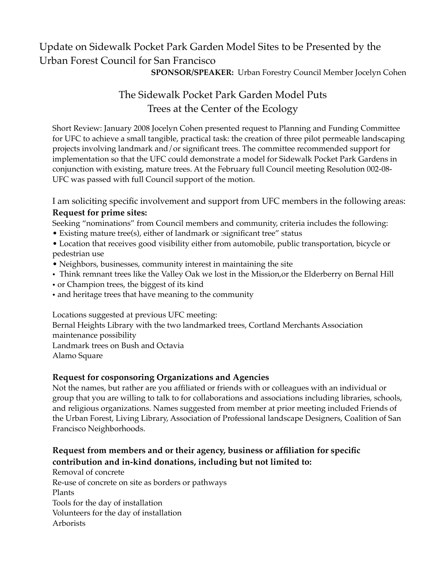# Update on Sidewalk Pocket Park Garden Model Sites to be Presented by the Urban Forest Council for San Francisco

**SPONSOR/SPEAKER:** Urban Forestry Council Member Jocelyn Cohen

## The Sidewalk Pocket Park Garden Model Puts Trees at the Center of the Ecology

Short Review: January 2008 Jocelyn Cohen presented request to Planning and Funding Committee for UFC to achieve a small tangible, practical task: the creation of three pilot permeable landscaping projects involving landmark and/or significant trees. The committee recommended support for implementation so that the UFC could demonstrate a model for Sidewalk Pocket Park Gardens in conjunction with existing, mature trees. At the February full Council meeting Resolution 002-08- UFC was passed with full Council support of the motion.

I am soliciting specific involvement and support from UFC members in the following areas:

#### **Request for prime sites:**

Seeking "nominations" from Council members and community, criteria includes the following:

- Existing mature tree(s), either of landmark or :significant tree" status
- Location that receives good visibility either from automobile, public transportation, bicycle or pedestrian use
- Neighbors, businesses, community interest in maintaining the site
- Think remnant trees like the Valley Oak we lost in the Mission,or the Elderberry on Bernal Hill
- or Champion trees, the biggest of its kind
- and heritage trees that have meaning to the community

Locations suggested at previous UFC meeting:

Bernal Heights Library with the two landmarked trees, Cortland Merchants Association maintenance possibility Landmark trees on Bush and Octavia

Alamo Square

#### **Request for cosponsoring Organizations and Agencies**

Not the names, but rather are you affiliated or friends with or colleagues with an individual or group that you are willing to talk to for collaborations and associations including libraries, schools, and religious organizations. Names suggested from member at prior meeting included Friends of the Urban Forest, Living Library, Association of Professional landscape Designers, Coalition of San Francisco Neighborhoods.

### **Request from members and or their agency, business or affiliation for specific contribution and in-kind donations, including but not limited to:**

Removal of concrete Re-use of concrete on site as borders or pathways Plants Tools for the day of installation Volunteers for the day of installation Arborists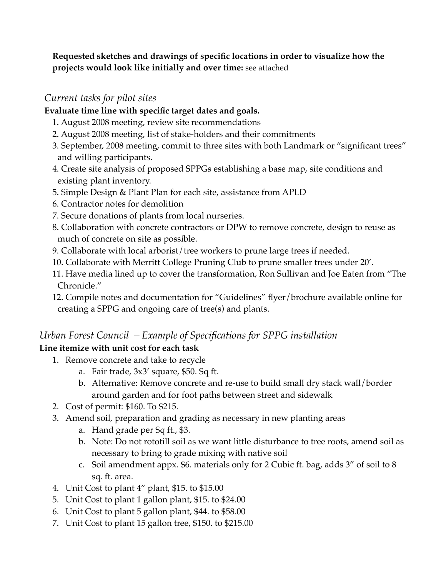**Requested sketches and drawings of specific locations in order to visualize how the projects would look like initially and over time:** see attached

### *Current tasks for pilot sites*

#### **Evaluate time line with specific target dates and goals.**

- 1. August 2008 meeting, review site recommendations
- 2. August 2008 meeting, list of stake-holders and their commitments
- 3. September, 2008 meeting, commit to three sites with both Landmark or "significant trees" and willing participants.
- 4. Create site analysis of proposed SPPGs establishing a base map, site conditions and existing plant inventory.
- 5. Simple Design & Plant Plan for each site, assistance from APLD
- 6. Contractor notes for demolition
- 7. Secure donations of plants from local nurseries.
- 8. Collaboration with concrete contractors or DPW to remove concrete, design to reuse as much of concrete on site as possible.
- 9. Collaborate with local arborist/tree workers to prune large trees if needed.
- 10. Collaborate with Merritt College Pruning Club to prune smaller trees under 20'.
- 11. Have media lined up to cover the transformation, Ron Sullivan and Joe Eaten from "The Chronicle."
- 12. Compile notes and documentation for "Guidelines" flyer/brochure available online for creating a SPPG and ongoing care of tree(s) and plants.

## *Urban Forest Council – Example of Specifications for SPPG installation*

### **Line itemize with unit cost for each task**

- 1. Remove concrete and take to recycle
	- a. Fair trade, 3x3' square, \$50. Sq ft.
	- b. Alternative: Remove concrete and re-use to build small dry stack wall/border around garden and for foot paths between street and sidewalk
- 2. Cost of permit: \$160. To \$215.
- 3. Amend soil, preparation and grading as necessary in new planting areas
	- a. Hand grade per Sq ft., \$3.
	- b. Note: Do not rototill soil as we want little disturbance to tree roots, amend soil as necessary to bring to grade mixing with native soil
	- c. Soil amendment appx. \$6. materials only for 2 Cubic ft. bag, adds 3" of soil to 8 sq. ft. area.
- 4. Unit Cost to plant 4" plant, \$15. to \$15.00
- 5. Unit Cost to plant 1 gallon plant, \$15. to \$24.00
- 6. Unit Cost to plant 5 gallon plant, \$44. to \$58.00
- 7. Unit Cost to plant 15 gallon tree, \$150. to \$215.00